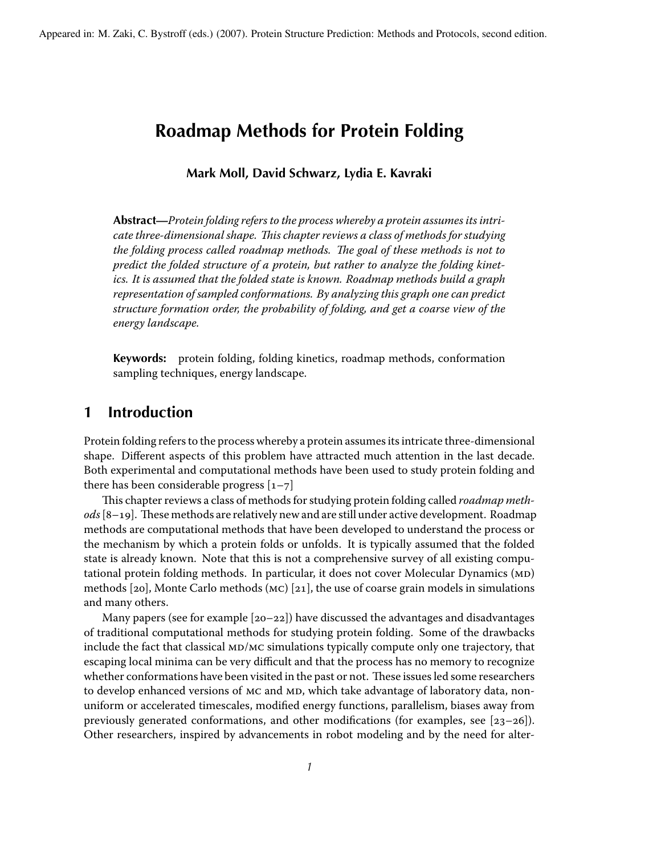# **Roadmap Methods for Protein Folding**

**Mark Moll, David Schwarz, Lydia E. Kavraki**

**Abstract—***Protein folding refers to the process whereby a protein assumes its intricate three-dimensional shape. This chapter reviews a class of methods for studying the folding process called roadmap methods. The goal of these methods is not to predict the folded structure of a protein, but rather to analyze the folding kinetics. It is assumed that the folded state is known. Roadmap methods build a graph representation of sampled conformations. By analyzing this graph one can predict structure formation order, the probability of folding, and get a coarse view of the energy landscape.*

**Keywords:** protein folding, folding kinetics, roadmap methods, conformation sampling techniques, energy landscape.

### **1 Introduction**

Protein folding refers to the process whereby a protein assumes its intricate three-dimensional shape. Different aspects of this problem have attracted much attention in the last decade. Both experimental and computational methods have been used to study protein folding and there has been considerable progress  $[1-7]$ 

This chapter reviews a class of methods for studying protein folding called *roadmap meth*ods [8-19]. These methods are relatively new and are still under active development. Roadmap methods are computational methods that have been developed to understand the process or the mechanism by which a protein folds or unfolds. It is typically assumed that the folded state is already known. Note that this is not a comprehensive survey of all existing computational protein folding methods. In particular, it does not cover Molecular Dynamics (MD) methods [20], Monte Carlo methods ( $MC$ ) [21], the use of coarse grain models in simulations and many others.

Many papers (see for example  $[20-22]$ ) have discussed the advantages and disadvantages of traditional computational methods for studying protein folding. Some of the drawbacks include the fact that classical MD/MC simulations typically compute only one trajectory, that escaping local minima can be very difficult and that the process has no memory to recognize whether conformations have been visited in the past or not. These issues led some researchers to develop enhanced versions of  $MC$  and  $MD$ , which take advantage of laboratory data, nonuniform or accelerated timescales, modified energy functions, parallelism, biases away from previously generated conformations, and other modifications (for examples, see  $[23-26]$ ). Other researchers, inspired by advancements in robot modeling and by the need for alter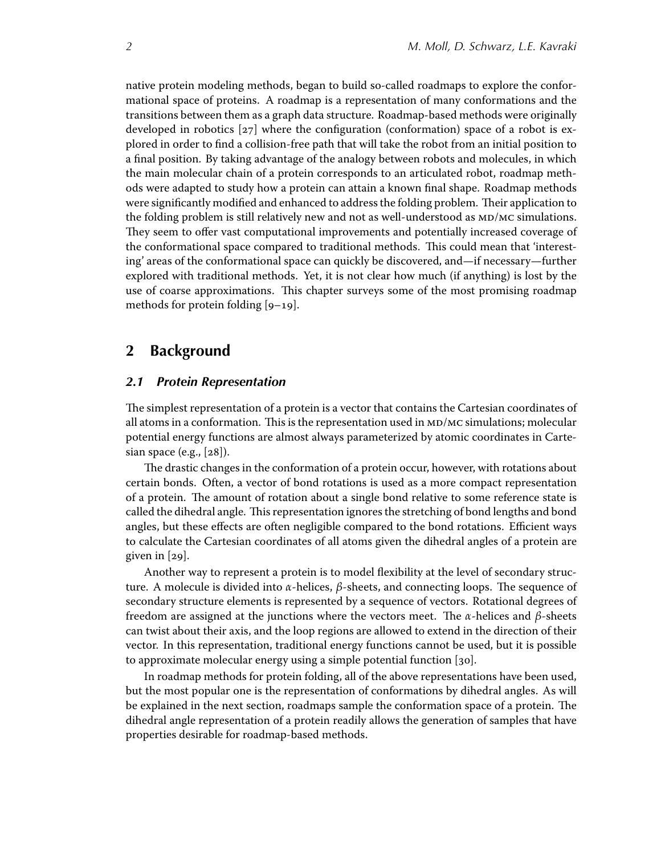native protein modeling methods, began to build so-called roadmaps to explore the conformational space of proteins. A roadmap is a representation of many conformations and the transitions between them as a graph data structure. Roadmap-based methods were originally developed in robotics  $[z7]$  where the configuration (conformation) space of a robot is explored in order to find a collision-free path that will take the robot from an initial position to a final position. By taking advantage of the analogy between robots and molecules, in which the main molecular chain of a protein corresponds to an articulated robot, roadmap methods were adapted to study how a protein can attain a known final shape. Roadmap methods were significantly modified and enhanced to address the folding problem. Their application to the folding problem is still relatively new and not as well-understood as  $MD/MC$  simulations. They seem to offer vast computational improvements and potentially increased coverage of the conformational space compared to traditional methods. This could mean that 'interesting' areas of the conformational space can quickly be discovered, and—if necessary—further explored with traditional methods. Yet, it is not clear how much (if anything) is lost by the use of coarse approximations. This chapter surveys some of the most promising roadmap methods for protein folding  $[9-19]$ .

## **2 Background**

#### *2.1 Protein Representation*

The simplest representation of a protein is a vector that contains the Cartesian coordinates of all atoms in a conformation. This is the representation used in  $MD/MC$  simulations; molecular potential energy functions are almost always parameterized by atomic coordinates in Cartesian space  $(e.g., [28])$ .

The drastic changes in the conformation of a protein occur, however, with rotations about certain bonds. Often, a vector of bond rotations is used as a more compact representation of a protein. The amount of rotation about a single bond relative to some reference state is called the dihedral angle. This representation ignores the stretching of bond lengths and bond angles, but these effects are often negligible compared to the bond rotations. Efficient ways to calculate the Cartesian coordinates of all atoms given the dihedral angles of a protein are given in  $[29]$ .

Another way to represent a protein is to model flexibility at the level of secondary structure. A molecule is divided into *α*-helices, *β*-sheets, and connecting loops. The sequence of secondary structure elements is represented by a sequence of vectors. Rotational degrees of freedom are assigned at the junctions where the vectors meet. The  $α$ -helices and  $β$ -sheets can twist about their axis, and the loop regions are allowed to extend in the direction of their vector. In this representation, traditional energy functions cannot be used, but it is possible to approximate molecular energy using a simple potential function [30].

In roadmap methods for protein folding, all of the above representations have been used, but the most popular one is the representation of conformations by dihedral angles. As will be explained in the next section, roadmaps sample the conformation space of a protein. The dihedral angle representation of a protein readily allows the generation of samples that have properties desirable for roadmap-based methods.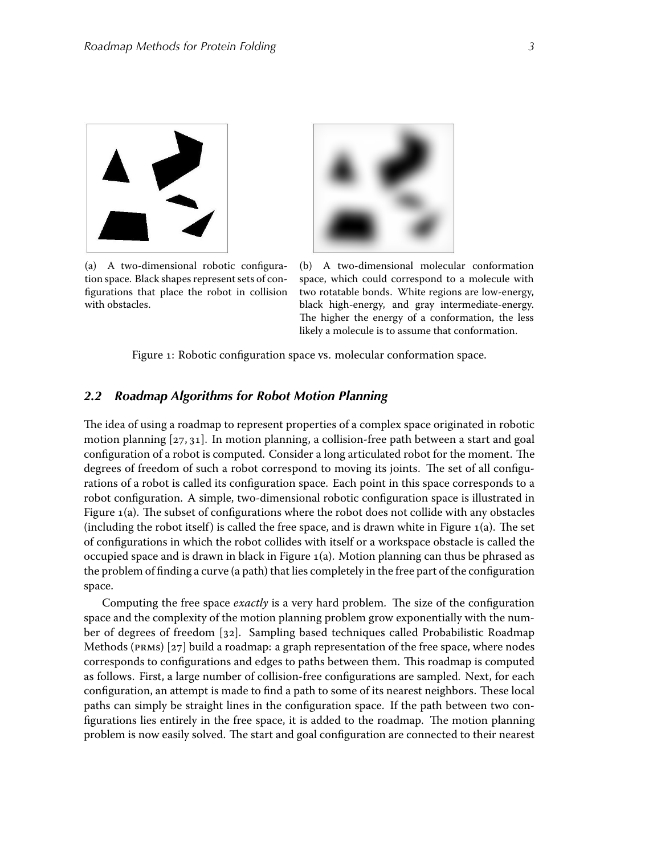



(a) A two-dimensional robotic configuration space. Black shapes represent sets of configurations that place the robot in collision with obstacles.

(b) A two-dimensional molecular conformation space, which could correspond to a molecule with two rotatable bonds. White regions are low-energy, black high-energy, and gray intermediate-energy. The higher the energy of a conformation, the less likely a molecule is to assume that conformation.

Figure 1: Robotic configuration space vs. molecular conformation space.

### 2.2 Roadmap Algorithms for Robot Motion Planning

The idea of using a roadmap to represent properties of a complex space originated in robotic motion planning  $[z_7, 31]$ . In motion planning, a collision-free path between a start and goal configuration of a robot is computed. Consider a long articulated robot for the moment. The degrees of freedom of such a robot correspond to moving its joints. The set of all configurations of a robot is called its configuration space. Each point in this space corresponds to a robot configuration. A simple, two-dimensional robotic configuration space is illustrated in Figure  $1(a)$ . The subset of configurations where the robot does not collide with any obstacles (including the robot itself) is called the free space, and is drawn white in Figure  $1(a)$ . The set of configurations in which the robot collides with itself or a workspace obstacle is called the occupied space and is drawn in black in Figure  $1(a)$ . Motion planning can thus be phrased as the problem of finding a curve (a path) that lies completely in the free part of the configuration space.

Computing the free space *exactly* is a very hard problem. The size of the configuration space and the complexity of the motion planning problem grow exponentially with the number of degrees of freedom [32]. Sampling based techniques called Probabilistic Roadmap Methods ( $pRMS$ ) [27] build a roadmap: a graph representation of the free space, where nodes corresponds to configurations and edges to paths between them. This roadmap is computed as follows. First, a large number of collision-free configurations are sampled. Next, for each configuration, an attempt is made to find a path to some of its nearest neighbors. These local paths can simply be straight lines in the configuration space. If the path between two configurations lies entirely in the free space, it is added to the roadmap. The motion planning problem is now easily solved. The start and goal configuration are connected to their nearest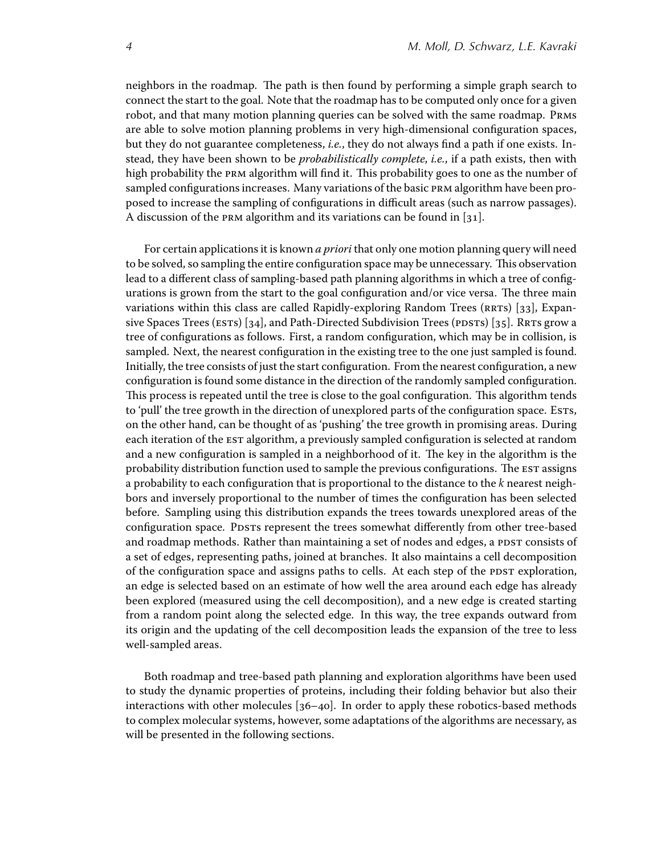neighbors in the roadmap. The path is then found by performing a simple graph search to connect the start to the goal. Note that the roadmap has to be computed only once for a given robot, and that many motion planning queries can be solved with the same roadmap. PRMS are able to solve motion planning problems in very high-dimensional configuration spaces, but they do not guarantee completeness, *i.e.*, they do not always find a path if one exists. Instead, they have been shown to be *probabilistically complete*, *i.e.*, if a path exists, then with high probability the PRM algorithm will find it. This probability goes to one as the number of sampled configurations increases. Many variations of the basic PRM algorithm have been proposed to increase the sampling of configurations in difficult areas (such as narrow passages). A discussion of the  $PRM$  algorithm and its variations can be found in [31].

For certain applications it is known *a priori* that only one motion planning query will need to be solved, so sampling the entire configuration space may be unnecessary. This observation lead to a different class of sampling-based path planning algorithms in which a tree of configurations is grown from the start to the goal configuration and/or vice versa. The three main variations within this class are called Rapidly-exploring Random Trees (RRTs)  $[33]$ , Expansive Spaces Trees (ESTS) [ $34$ ], and Path-Directed Subdivision Trees (PDSTS) [ $35$ ]. RRTs grow a tree of configurations as follows. First, a random configuration, which may be in collision, is sampled. Next, the nearest configuration in the existing tree to the one just sampled is found. Initially, the tree consists of just the start configuration. From the nearest configuration, a new configuration is found some distance in the direction of the randomly sampled configuration. This process is repeated until the tree is close to the goal configuration. This algorithm tends to 'pull' the tree growth in the direction of unexplored parts of the configuration space. Ests, on the other hand, can be thought of as 'pushing' the tree growth in promising areas. During each iteration of the EST algorithm, a previously sampled configuration is selected at random and a new configuration is sampled in a neighborhood of it. The key in the algorithm is the probability distribution function used to sample the previous configurations. The EST assigns a probability to each configuration that is proportional to the distance to the *k* nearest neighbors and inversely proportional to the number of times the configuration has been selected before. Sampling using this distribution expands the trees towards unexplored areas of the configuration space. PDSTs represent the trees somewhat differently from other tree-based and roadmap methods. Rather than maintaining a set of nodes and edges, a PDST consists of a set of edges, representing paths, joined at branches. It also maintains a cell decomposition of the configuration space and assigns paths to cells. At each step of the PDST exploration, an edge is selected based on an estimate of how well the area around each edge has already been explored (measured using the cell decomposition), and a new edge is created starting from a random point along the selected edge. In this way, the tree expands outward from its origin and the updating of the cell decomposition leads the expansion of the tree to less well-sampled areas.

Both roadmap and tree-based path planning and exploration algorithms have been used to study the dynamic properties of proteins, including their folding behavior but also their interactions with other molecules  $[36–40]$ . In order to apply these robotics-based methods to complex molecular systems, however, some adaptations of the algorithms are necessary, as will be presented in the following sections.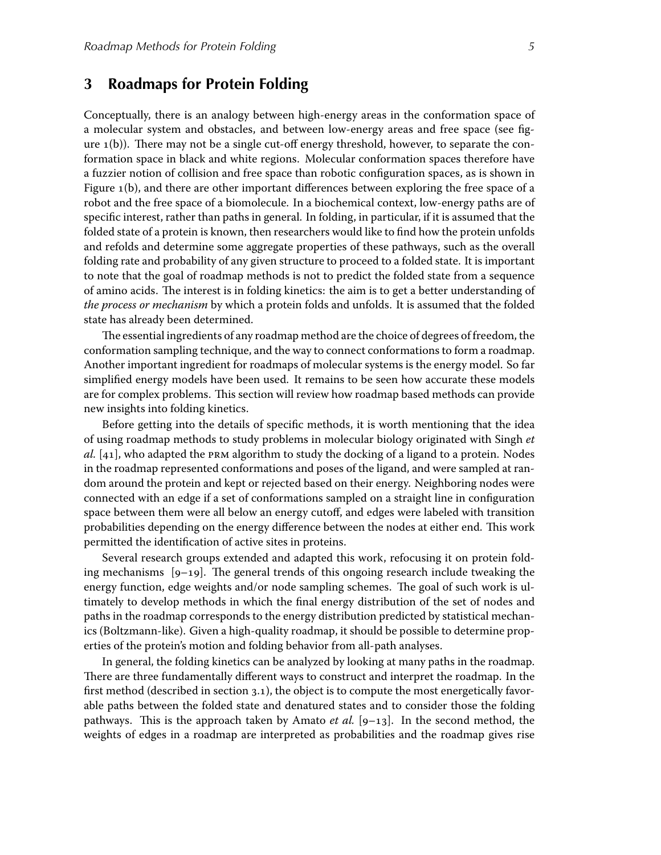## **3** Roadmaps for Protein Folding

Conceptually, there is an analogy between high-energy areas in the conformation space of a molecular system and obstacles, and between low-energy areas and free space (see figure  $(1)(b)$ . There may not be a single cut-off energy threshold, however, to separate the conformation space in black and white regions. Molecular conformation spaces therefore have a fuzzier notion of collision and free space than robotic configuration spaces, as is shown in Figure  $1(b)$ , and there are other important differences between exploring the free space of a robot and the free space of a biomolecule. In a biochemical context, low-energy paths are of specific interest, rather than paths in general. In folding, in particular, if it is assumed that the folded state of a protein is known, then researchers would like to find how the protein unfolds and refolds and determine some aggregate properties of these pathways, such as the overall folding rate and probability of any given structure to proceed to a folded state. It is important to note that the goal of roadmap methods is not to predict the folded state from a sequence of amino acids. The interest is in folding kinetics: the aim is to get a better understanding of *the process or mechanism* by which a protein folds and unfolds. It is assumed that the folded state has already been determined.

The essential ingredients of any roadmap method are the choice of degrees of freedom, the conformation sampling technique, and the way to connect conformations to form a roadmap. Another important ingredient for roadmaps of molecular systems is the energy model. So far simplified energy models have been used. It remains to be seen how accurate these models are for complex problems. This section will review how roadmap based methods can provide new insights into folding kinetics.

Before getting into the details of specific methods, it is worth mentioning that the idea of using roadmap methods to study problems in molecular biology originated with Singh *et*  $al.$  [41], who adapted the  $PRM$  algorithm to study the docking of a ligand to a protein. Nodes in the roadmap represented conformations and poses of the ligand, and were sampled at random around the protein and kept or rejected based on their energy. Neighboring nodes were connected with an edge if a set of conformations sampled on a straight line in configuration space between them were all below an energy cutoff, and edges were labeled with transition probabilities depending on the energy difference between the nodes at either end. This work permitted the identification of active sites in proteins.

Several research groups extended and adapted this work, refocusing it on protein folding mechanisms  $[-19]$ . The general trends of this ongoing research include tweaking the energy function, edge weights and/or node sampling schemes. The goal of such work is ultimately to develop methods in which the final energy distribution of the set of nodes and paths in the roadmap corresponds to the energy distribution predicted by statistical mechanics (Boltzmann-like). Given a high-quality roadmap, it should be possible to determine properties of the protein's motion and folding behavior from all-path analyses.

In general, the folding kinetics can be analyzed by looking at many paths in the roadmap. There are three fundamentally different ways to construct and interpret the roadmap. In the first method (described in section  $3.1$ ), the object is to compute the most energetically favorable paths between the folded state and denatured states and to consider those the folding pathways. This is the approach taken by Amato *et al.*  $[9-13]$ . In the second method, the weights of edges in a roadmap are interpreted as probabilities and the roadmap gives rise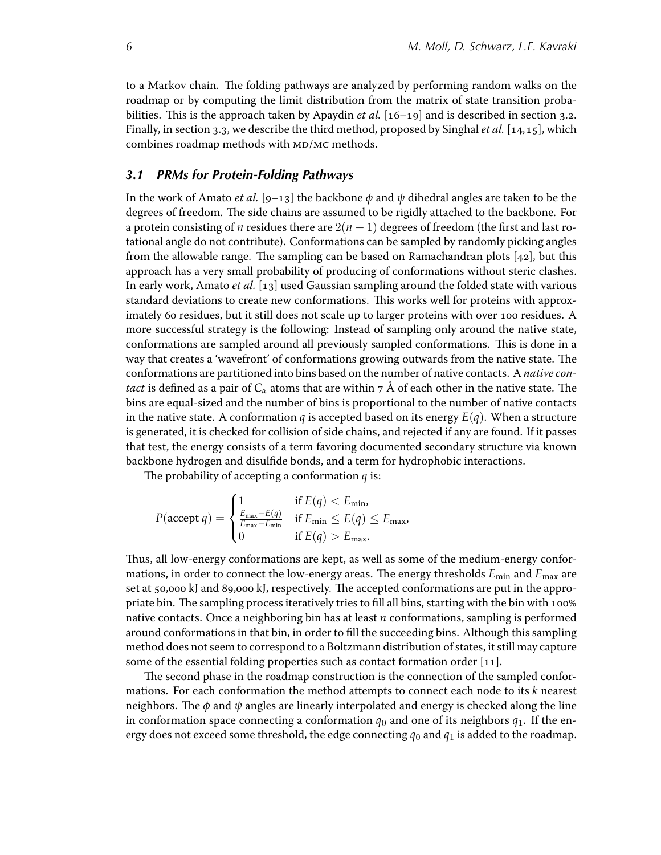to a Markov chain. The folding pathways are analyzed by performing random walks on the roadmap or by computing the limit distribution from the matrix of state transition probabilities. This is the approach taken by Apaydin *et al.*  $[16–19]$  and is described in section 3.2. Finally, in section 3.3, we describe the third method, proposed by Singhal *et al.* [14,15], which combines roadmap methods with  $MD/MC$  methods.

#### *3.1 PRMs for Protein-Folding Pathways*

In the work of Amato *et al.* [9–13] the backbone  $\phi$  and  $\psi$  dihedral angles are taken to be the degrees of freedom. The side chains are assumed to be rigidly attached to the backbone. For a protein consisting of *n* residues there are  $2(n - 1)$  degrees of freedom (the first and last rotational angle do not contribute). Conformations can be sampled by randomly picking angles from the allowable range. The sampling can be based on Ramachandran plots  $[42]$ , but this approach has a very small probability of producing of conformations without steric clashes. In early work, Amato *et al.* [13] used Gaussian sampling around the folded state with various standard deviations to create new conformations. This works well for proteins with approximately 60 residues, but it still does not scale up to larger proteins with over 100 residues. A more successful strategy is the following: Instead of sampling only around the native state, conformations are sampled around all previously sampled conformations. This is done in a way that creates a 'wavefront' of conformations growing outwards from the native state. The conformations are partitioned into bins based on the number of native contacts. A *native contact* is defined as a pair of  $C_\alpha$  atoms that are within  $\overline{\gamma}$  Å of each other in the native state. The bins are equal-sized and the number of bins is proportional to the number of native contacts in the native state. A conformation *q* is accepted based on its energy  $E(q)$ . When a structure is generated, it is checked for collision of side chains, and rejected if any are found. If it passes that test, the energy consists of a term favoring documented secondary structure via known backbone hydrogen and disulfide bonds, and a term for hydrophobic interactions.

The probability of accepting a conformation  $q$  is:

$$
P(\text{accept } q) = \begin{cases} 1 & \text{if } E(q) < E_{\min}, \\ \frac{E_{\max} - E(q)}{E_{\max} - E_{\min}} & \text{if } E_{\min} \le E(q) \le E_{\max}, \\ 0 & \text{if } E(q) > E_{\max}. \end{cases}
$$

Thus, all low-energy conformations are kept, as well as some of the medium-energy conformations, in order to connect the low-energy areas. The energy thresholds  $E_{\text{min}}$  and  $E_{\text{max}}$  are set at  $50,000$  kJ and  $89,000$  kJ, respectively. The accepted conformations are put in the appropriate bin. The sampling process iteratively tries to fill all bins, starting with the bin with 100% native contacts. Once a neighboring bin has at least *n* conformations, sampling is performed around conformations in that bin, in order to fill the succeeding bins. Although this sampling method does not seem to correspond to a Boltzmann distribution of states, it still may capture some of the essential folding properties such as contact formation order  $[11]$ .

The second phase in the roadmap construction is the connection of the sampled conformations. For each conformation the method attempts to connect each node to its *k* nearest neighbors. The  $\phi$  and  $\psi$  angles are linearly interpolated and energy is checked along the line in conformation space connecting a conformation  $q_0$  and one of its neighbors  $q_1$ . If the energy does not exceed some threshold, the edge connecting  $q_0$  and  $q_1$  is added to the roadmap.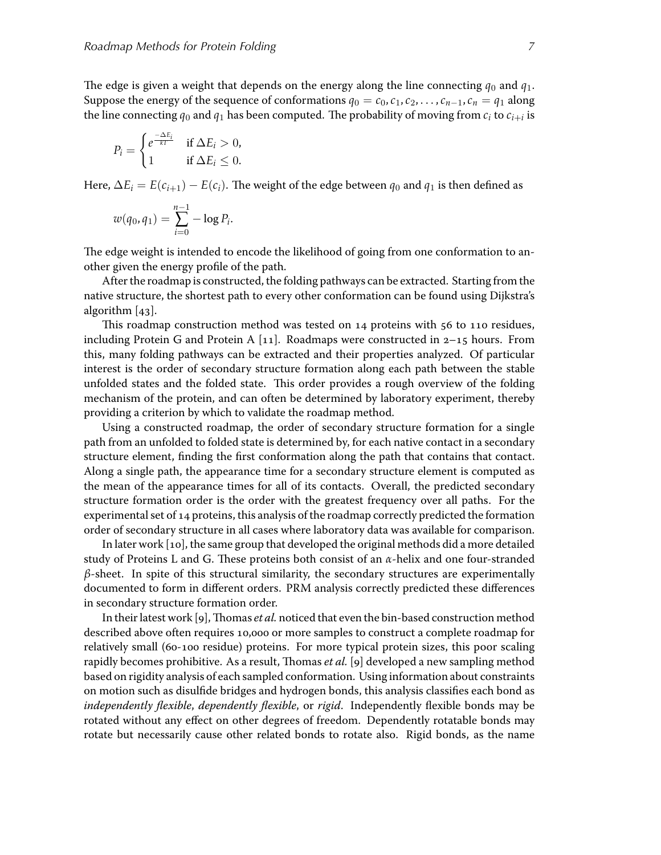The edge is given a weight that depends on the energy along the line connecting  $q_0$  and  $q_1$ . Suppose the energy of the sequence of conformations  $q_0 = c_0, c_1, c_2, \ldots, c_{n-1}, c_n = q_1$  along the line connecting  $q_0$  and  $q_1$  has been computed. The probability of moving from  $c_i$  to  $c_{i+i}$  is

$$
P_i = \begin{cases} e^{\frac{-\Delta E_i}{kT}} & \text{if } \Delta E_i > 0, \\ 1 & \text{if } \Delta E_i \le 0. \end{cases}
$$

Here,  $\Delta E_i = E(c_{i+1}) - E(c_i)$ . The weight of the edge between  $q_0$  and  $q_1$  is then defined as

$$
w(q_0, q_1) = \sum_{i=0}^{n-1} -\log P_i.
$$

The edge weight is intended to encode the likelihood of going from one conformation to another given the energy profile of the path.

After the roadmap is constructed, the folding pathways can be extracted. Starting from the native structure, the shortest path to every other conformation can be found using Dijkstra's algorithm  $[43]$ .

This roadmap construction method was tested on  $14$  proteins with  $56$  to  $110$  residues, including Protein G and Protein A [11]. Roadmaps were constructed in  $2-15$  hours. From this, many folding pathways can be extracted and their properties analyzed. Of particular interest is the order of secondary structure formation along each path between the stable unfolded states and the folded state. This order provides a rough overview of the folding mechanism of the protein, and can often be determined by laboratory experiment, thereby providing a criterion by which to validate the roadmap method.

Using a constructed roadmap, the order of secondary structure formation for a single path from an unfolded to folded state is determined by, for each native contact in a secondary structure element, finding the first conformation along the path that contains that contact. Along a single path, the appearance time for a secondary structure element is computed as the mean of the appearance times for all of its contacts. Overall, the predicted secondary structure formation order is the order with the greatest frequency over all paths. For the experimental set of  $14$  proteins, this analysis of the roadmap correctly predicted the formation order of secondary structure in all cases where laboratory data was available for comparison.

In later work  $[10]$ , the same group that developed the original methods did a more detailed study of Proteins L and G. These proteins both consist of an *α*-helix and one four-stranded  $\beta$ -sheet. In spite of this structural similarity, the secondary structures are experimentally documented to form in different orders. PRM analysis correctly predicted these differences in secondary structure formation order.

In their latest work [9], Thomas *et al.* noticed that even the bin-based construction method described above often requires 10,000 or more samples to construct a complete roadmap for relatively small (60-100 residue) proteins. For more typical protein sizes, this poor scaling rapidly becomes prohibitive. As a result, Thomas *et al.* [9] developed a new sampling method based on rigidity analysis of each sampled conformation. Using information about constraints on motion such as disulfide bridges and hydrogen bonds, this analysis classifies each bond as *independently flexible*, *dependently flexible*, or *rigid*. Independently flexible bonds may be rotated without any effect on other degrees of freedom. Dependently rotatable bonds may rotate but necessarily cause other related bonds to rotate also. Rigid bonds, as the name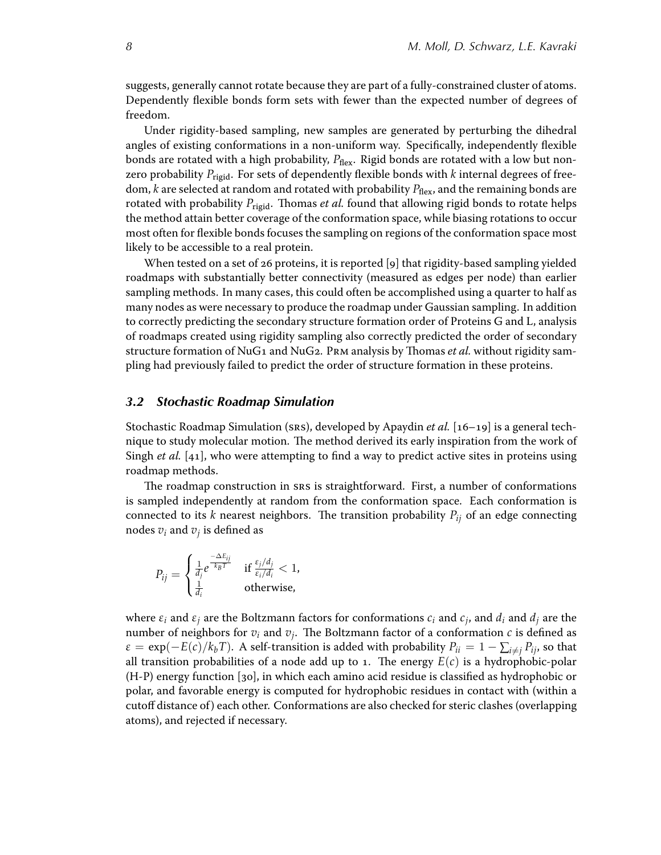suggests, generally cannot rotate because they are part of a fully-constrained cluster of atoms. Dependently flexible bonds form sets with fewer than the expected number of degrees of freedom.

Under rigidity-based sampling, new samples are generated by perturbing the dihedral angles of existing conformations in a non-uniform way. Specifically, independently flexible bonds are rotated with a high probability,  $P_{\text{flex}}$ . Rigid bonds are rotated with a low but nonzero probability *P*rigid. For sets of dependently flexible bonds with *k* internal degrees of freedom, *k* are selected at random and rotated with probability  $P_{\text{flex}}$ , and the remaining bonds are rotated with probability  $P_{\text{rigid}}$ . Thomas *et al.* found that allowing rigid bonds to rotate helps the method attain better coverage of the conformation space, while biasing rotations to occur most often for flexible bonds focuses the sampling on regions of the conformation space most likely to be accessible to a real protein.

When tested on a set of 26 proteins, it is reported [9] that rigidity-based sampling yielded roadmaps with substantially better connectivity (measured as edges per node) than earlier sampling methods. In many cases, this could often be accomplished using a quarter to half as many nodes as were necessary to produce the roadmap under Gaussian sampling. In addition to correctly predicting the secondary structure formation order of Proteins G and L, analysis of roadmaps created using rigidity sampling also correctly predicted the order of secondary structure formation of NuG1 and NuG2. PRM analysis by Thomas *et al.* without rigidity sampling had previously failed to predict the order of structure formation in these proteins.

#### *3.2 Stochastic Roadmap Simulation*

Stochastic Roadmap Simulation (SRS), developed by Apaydin *et al.* [16–19] is a general technique to study molecular motion. The method derived its early inspiration from the work of Singh *et al.* [41], who were attempting to find a way to predict active sites in proteins using roadmap methods.

The roadmap construction in sns is straightforward. First, a number of conformations is sampled independently at random from the conformation space. Each conformation is connected to its *k* nearest neighbors. The transition probability  $P_{ij}$  of an edge connecting nodes  $v_i$  and  $v_j$  is defined as

$$
P_{ij} = \begin{cases} \frac{1}{d_j} e^{\frac{-\Delta E_{ij}}{k_B T}} & \text{if } \frac{\varepsilon_j/d_j}{\varepsilon_i/d_i} < 1, \\ \frac{1}{d_i} & \text{otherwise,} \end{cases}
$$

where *ε<sup>i</sup>* and *ε<sup>j</sup>* are the Boltzmann factors for conformations *c<sup>i</sup>* and *c<sup>j</sup>* , and *d<sup>i</sup>* and *d<sup>j</sup>* are the number of neighbors for  $v_i$  and  $v_j$ . The Boltzmann factor of a conformation  $c$  is defined as  $\varepsilon = \exp(-E(c)/k_bT)$ . A self-transition is added with probability  $P_{ii} = 1 - \sum_{i \neq j} P_{ij}$ , so that all transition probabilities of a node add up to 1. The energy  $E(c)$  is a hydrophobic-polar (H-P) energy function [], in which each amino acid residue is classified as hydrophobic or polar, and favorable energy is computed for hydrophobic residues in contact with (within a cutoff distance of ) each other. Conformations are also checked for steric clashes (overlapping atoms), and rejected if necessary.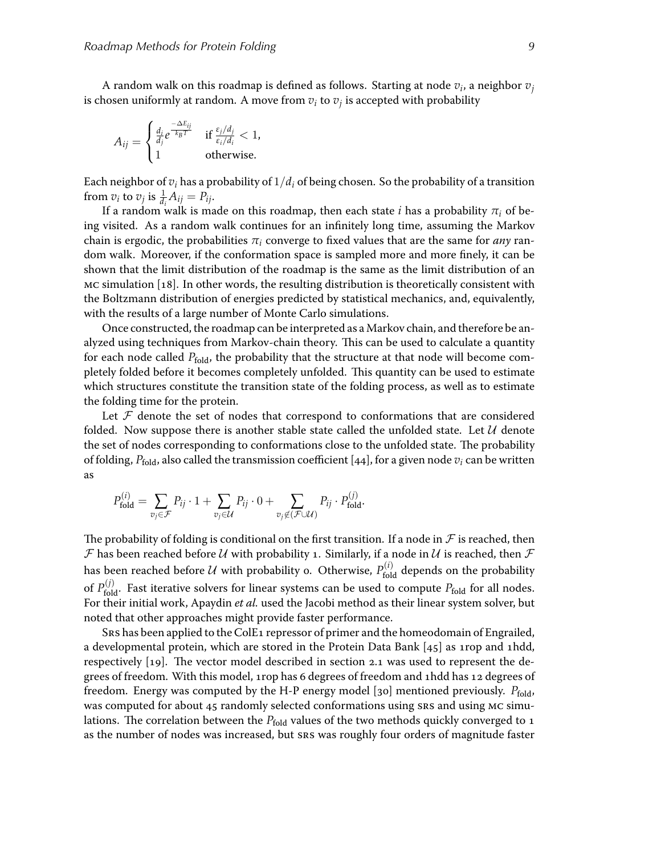A random walk on this roadmap is defined as follows. Starting at node  $v_i$ , a neighbor  $v_j$ is chosen uniformly at random. A move from  $v_i$  to  $v_j$  is accepted with probability

$$
A_{ij} = \begin{cases} \frac{d_i}{d_j} e^{-\frac{\Delta E_{ij}}{k_B T}} & \text{if } \frac{\varepsilon_j/d_j}{\varepsilon_i/d_i} < 1, \\ 1 & \text{otherwise.} \end{cases}
$$

Each neighbor of  $v_i$  has a probability of  $1/d_i$  of being chosen. So the probability of a transition from  $v_i$  to  $v_j$  is  $\frac{1}{d_i}A_{ij} = P_{ij}$ .

If a random walk is made on this roadmap, then each state *i* has a probability  $\pi$ <sup>*i*</sup> of being visited. As a random walk continues for an infinitely long time, assuming the Markov chain is ergodic, the probabilities  $\pi_i$  converge to fixed values that are the same for *any* random walk. Moreover, if the conformation space is sampled more and more finely, it can be shown that the limit distribution of the roadmap is the same as the limit distribution of an  $\kappa$  simulation [18]. In other words, the resulting distribution is theoretically consistent with the Boltzmann distribution of energies predicted by statistical mechanics, and, equivalently, with the results of a large number of Monte Carlo simulations.

Once constructed, the roadmap can be interpreted as a Markov chain, and therefore be analyzed using techniques from Markov-chain theory. This can be used to calculate a quantity for each node called *P*<sub>fold</sub>, the probability that the structure at that node will become completely folded before it becomes completely unfolded. This quantity can be used to estimate which structures constitute the transition state of the folding process, as well as to estimate the folding time for the protein.

Let  $F$  denote the set of nodes that correspond to conformations that are considered folded. Now suppose there is another stable state called the unfolded state. Let  $\mathcal U$  denote the set of nodes corresponding to conformations close to the unfolded state. The probability of folding,  $P_{\text{fold}}$ , also called the transmission coefficient [44], for a given node  $v_i$  can be written as

$$
P_{\text{fold}}^{(i)} = \sum_{v_j \in \mathcal{F}} P_{ij} \cdot 1 + \sum_{v_j \in \mathcal{U}} P_{ij} \cdot 0 + \sum_{v_j \notin (\mathcal{F} \cup \mathcal{U})} P_{ij} \cdot P_{\text{fold}}^{(j)}.
$$

The probability of folding is conditional on the first transition. If a node in  $\mathcal F$  is reached, then  $\mathcal F$  has been reached before U with probability 1. Similarly, if a node in U is reached, then  $\mathcal F$ has been reached before  $U$  with probability o. Otherwise,  $P_{\text{fold}}^{(i)}$  depends on the probability of  $P_{\text{fold}}^{(j)}$ . Fast iterative solvers for linear systems can be used to compute  $P_{\text{fold}}$  for all nodes. For their initial work, Apaydin *et al.* used the Jacobi method as their linear system solver, but noted that other approaches might provide faster performance.

SRS has been applied to the ColE1 repressor of primer and the homeodomain of Engrailed, a developmental protein, which are stored in the Protein Data Bank  $[45]$  as 1rop and 1hdd, respectively  $[19]$ . The vector model described in section 2.1 was used to represent the degrees of freedom. With this model, 1rop has 6 degrees of freedom and 1hdd has 12 degrees of freedom. Energy was computed by the H-P energy model [30] mentioned previously.  $P_{\text{fold}}$ , was computed for about 45 randomly selected conformations using SRS and using MC simulations. The correlation between the *P*<sub>fold</sub> values of the two methods quickly converged to 1 as the number of nodes was increased, but SRS was roughly four orders of magnitude faster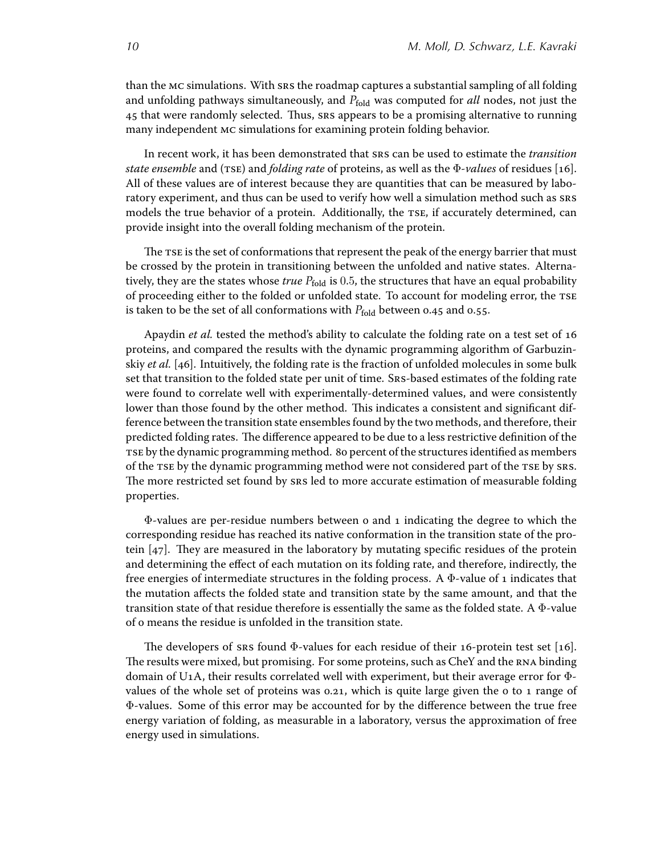than the MC simulations. With sns the roadmap captures a substantial sampling of all folding and unfolding pathways simultaneously, and P<sub>fold</sub> was computed for *all* nodes, not just the 45 that were randomly selected. Thus, SRS appears to be a promising alternative to running many independent MC simulations for examining protein folding behavior.

In recent work, it has been demonstrated that sns can be used to estimate the *transition state ensemble* and (TSE) and *folding rate* of proteins, as well as the Φ*-values* of residues [16]. All of these values are of interest because they are quantities that can be measured by laboratory experiment, and thus can be used to verify how well a simulation method such as SRS models the true behavior of a protein. Additionally, the TSE, if accurately determined, can provide insight into the overall folding mechanism of the protein.

The TSE is the set of conformations that represent the peak of the energy barrier that must be crossed by the protein in transitioning between the unfolded and native states. Alternatively, they are the states whose *true*  $P_{fold}$  is 0.5, the structures that have an equal probability of proceeding either to the folded or unfolded state. To account for modeling error, the is taken to be the set of all conformations with  $P_{\text{fold}}$  between 0.45 and 0.55.

Apaydin *et al.* tested the method's ability to calculate the folding rate on a test set of 16 proteins, and compared the results with the dynamic programming algorithm of Garbuzinskiy *et al.* [46]. Intuitively, the folding rate is the fraction of unfolded molecules in some bulk set that transition to the folded state per unit of time. SRS-based estimates of the folding rate were found to correlate well with experimentally-determined values, and were consistently lower than those found by the other method. This indicates a consistent and significant difference between the transition state ensembles found by the two methods, and therefore, their predicted folding rates. The difference appeared to be due to a less restrictive definition of the TSE by the dynamic programming method. 80 percent of the structures identified as members of the  $\tau$ se by the dynamic programming method were not considered part of the  $\tau$ se by sns. The more restricted set found by sns led to more accurate estimation of measurable folding properties.

 $\Phi$ -values are per-residue numbers between o and 1 indicating the degree to which the corresponding residue has reached its native conformation in the transition state of the protein  $[47]$ . They are measured in the laboratory by mutating specific residues of the protein and determining the effect of each mutation on its folding rate, and therefore, indirectly, the free energies of intermediate structures in the folding process. A  $\Phi$ -value of 1 indicates that the mutation affects the folded state and transition state by the same amount, and that the transition state of that residue therefore is essentially the same as the folded state. A  $\Phi$ -value of o means the residue is unfolded in the transition state.

The developers of sns found  $\Phi$ -values for each residue of their 16-protein test set [16]. The results were mixed, but promising. For some proteins, such as CheY and the RNA binding domain of U1A, their results correlated well with experiment, but their average error for  $\Phi$ values of the whole set of proteins was  $0.21$ , which is quite large given the  $\sigma$  to  $\sigma$  range of Φ-values. Some of this error may be accounted for by the difference between the true free energy variation of folding, as measurable in a laboratory, versus the approximation of free energy used in simulations.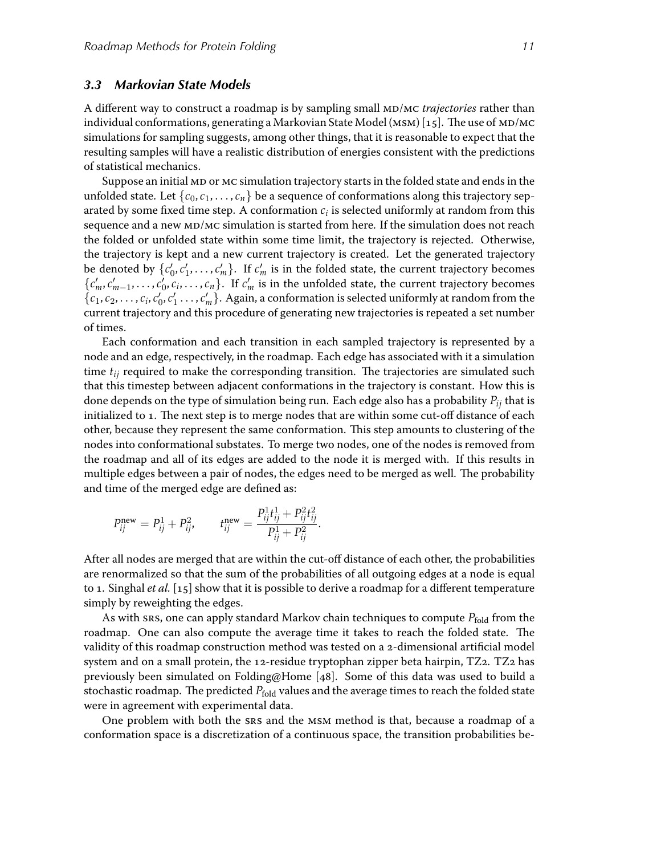### *3.3 Markovian State Models*

A different way to construct a roadmap is by sampling small / *trajectories* rather than individual conformations, generating a Markovian State Model ( $MSM$ ) [15]. The use of  $MD/MC$ simulations for sampling suggests, among other things, that it is reasonable to expect that the resulting samples will have a realistic distribution of energies consistent with the predictions of statistical mechanics.

Suppose an initial MD or MC simulation trajectory starts in the folded state and ends in the unfolded state. Let  $\{c_0, c_1, \ldots, c_n\}$  be a sequence of conformations along this trajectory separated by some fixed time step. A conformation  $c_i$  is selected uniformly at random from this sequence and a new MD/MC simulation is started from here. If the simulation does not reach the folded or unfolded state within some time limit, the trajectory is rejected. Otherwise, the trajectory is kept and a new current trajectory is created. Let the generated trajectory be denoted by  $\{c'_0,c'_1,\ldots,c'_m\}.$  If  $c'_m$  is in the folded state, the current trajectory becomes  $\{c'_m, c'_{m-1}, \ldots, c'_0, c_i, \ldots, c_n\}$ . If  $c'_m$  is in the unfolded state, the current trajectory becomes  $\{c_1, c_2, \ldots, c_i, c'_0, c'_1, \ldots, c'_m\}$ . Again, a conformation is selected uniformly at random from the current trajectory and this procedure of generating new trajectories is repeated a set number of times.

Each conformation and each transition in each sampled trajectory is represented by a node and an edge, respectively, in the roadmap. Each edge has associated with it a simulation time  $t_{ij}$  required to make the corresponding transition. The trajectories are simulated such that this timestep between adjacent conformations in the trajectory is constant. How this is done depends on the type of simulation being run. Each edge also has a probability *Pij* that is initialized to 1. The next step is to merge nodes that are within some cut-off distance of each other, because they represent the same conformation. This step amounts to clustering of the nodes into conformational substates. To merge two nodes, one of the nodes is removed from the roadmap and all of its edges are added to the node it is merged with. If this results in multiple edges between a pair of nodes, the edges need to be merged as well. The probability and time of the merged edge are defined as:

$$
P_{ij}^{\text{new}} = P_{ij}^1 + P_{ij}^2, \qquad t_{ij}^{\text{new}} = \frac{P_{ij}^1 t_{ij}^1 + P_{ij}^2 t_{ij}^2}{P_{ij}^1 + P_{ij}^2}.
$$

After all nodes are merged that are within the cut-off distance of each other, the probabilities are renormalized so that the sum of the probabilities of all outgoing edges at a node is equal to 1. Singhal *et al.* [15] show that it is possible to derive a roadmap for a different temperature simply by reweighting the edges.

As with sns, one can apply standard Markov chain techniques to compute  $P_{\text{fold}}$  from the roadmap. One can also compute the average time it takes to reach the folded state. The validity of this roadmap construction method was tested on a 2-dimensional artificial model system and on a small protein, the 12-residue tryptophan zipper beta hairpin,  $TZ_2$ .  $TZ_2$  has previously been simulated on Folding@Home [48]. Some of this data was used to build a stochastic roadmap. The predicted  $P_{\text{fold}}$  values and the average times to reach the folded state were in agreement with experimental data.

One problem with both the srs and the MSM method is that, because a roadmap of a conformation space is a discretization of a continuous space, the transition probabilities be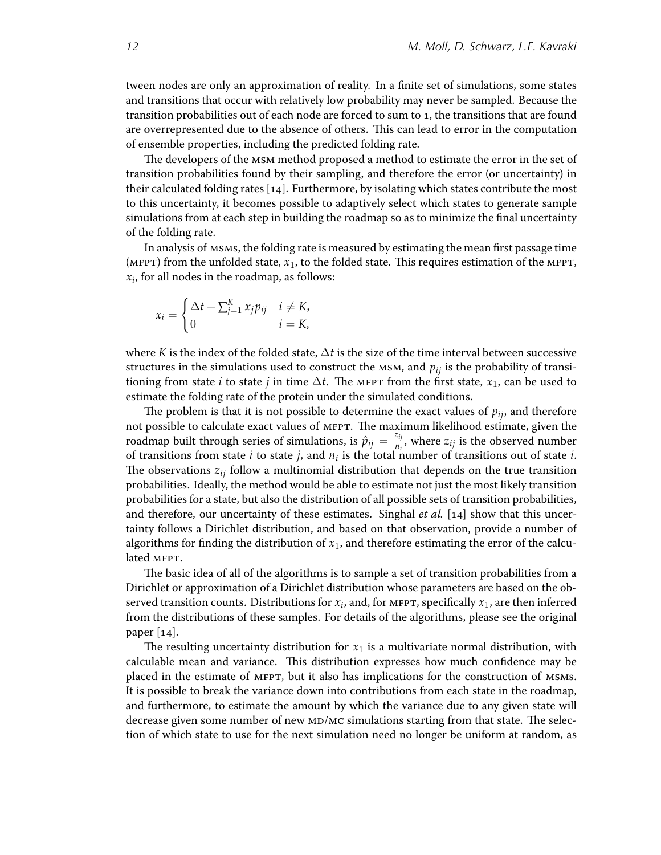tween nodes are only an approximation of reality. In a finite set of simulations, some states and transitions that occur with relatively low probability may never be sampled. Because the transition probabilities out of each node are forced to sum to 1, the transitions that are found are overrepresented due to the absence of others. This can lead to error in the computation of ensemble properties, including the predicted folding rate.

The developers of the MSM method proposed a method to estimate the error in the set of transition probabilities found by their sampling, and therefore the error (or uncertainty) in their calculated folding rates  $[14]$ . Furthermore, by isolating which states contribute the most to this uncertainty, it becomes possible to adaptively select which states to generate sample simulations from at each step in building the roadmap so as to minimize the final uncertainty of the folding rate.

In analysis of MSMS, the folding rate is measured by estimating the mean first passage time (MFPT) from the unfolded state,  $x_1$ , to the folded state. This requires estimation of the MFPT, *xi* , for all nodes in the roadmap, as follows:

$$
x_i = \begin{cases} \Delta t + \sum_{j=1}^{K} x_j p_{ij} & i \neq K, \\ 0 & i = K, \end{cases}
$$

where *K* is the index of the folded state, ∆*t* is the size of the time interval between successive structures in the simulations used to construct the  $MSM$ , and  $p_{ij}$  is the probability of transitioning from state *i* to state *j* in time  $\Delta t$ . The MFPT from the first state, *x*<sub>1</sub>, can be used to estimate the folding rate of the protein under the simulated conditions.

The problem is that it is not possible to determine the exact values of  $p_{ij}$ , and therefore not possible to calculate exact values of MFPT. The maximum likelihood estimate, given the roadmap built through series of simulations, is  $\hat{p}_{ij} = \frac{z_{ij}}{n_i}$  $\frac{\Delta_{ij}}{n_i}$ , where  $z_{ij}$  is the observed number of transitions from state *i* to state *j*, and *n<sup>i</sup>* is the total number of transitions out of state *i*. The observations  $z_{ij}$  follow a multinomial distribution that depends on the true transition probabilities. Ideally, the method would be able to estimate not just the most likely transition probabilities for a state, but also the distribution of all possible sets of transition probabilities, and therefore, our uncertainty of these estimates. Singhal *et al.* [14] show that this uncertainty follows a Dirichlet distribution, and based on that observation, provide a number of algorithms for finding the distribution of *x*1, and therefore estimating the error of the calculated MFPT.

The basic idea of all of the algorithms is to sample a set of transition probabilities from a Dirichlet or approximation of a Dirichlet distribution whose parameters are based on the observed transition counts. Distributions for  $x_i$ , and, for мғрт, specifically  $x_1$ , are then inferred from the distributions of these samples. For details of the algorithms, please see the original paper  $[14]$ .

The resulting uncertainty distribution for  $x_1$  is a multivariate normal distribution, with calculable mean and variance. This distribution expresses how much confidence may be placed in the estimate of MFPT, but it also has implications for the construction of MSMS. It is possible to break the variance down into contributions from each state in the roadmap, and furthermore, to estimate the amount by which the variance due to any given state will decrease given some number of new  $MD/MC$  simulations starting from that state. The selection of which state to use for the next simulation need no longer be uniform at random, as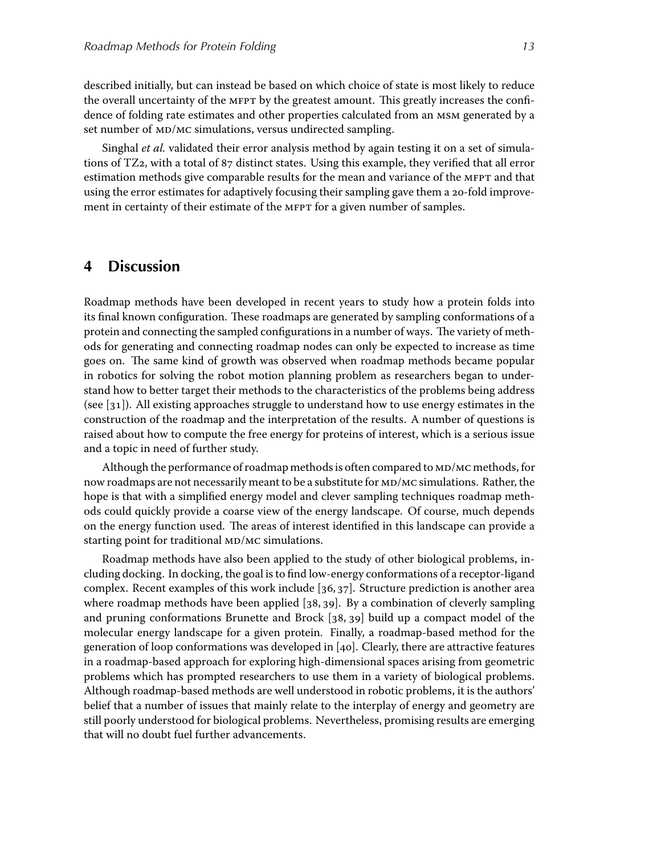described initially, but can instead be based on which choice of state is most likely to reduce the overall uncertainty of the MFPT by the greatest amount. This greatly increases the confidence of folding rate estimates and other properties calculated from an MSM generated by a set number of MD/MC simulations, versus undirected sampling.

Singhal *et al.* validated their error analysis method by again testing it on a set of simulations of TZ2, with a total of  $87$  distinct states. Using this example, they verified that all error estimation methods give comparable results for the mean and variance of the MFPT and that using the error estimates for adaptively focusing their sampling gave them a 20-fold improvement in certainty of their estimate of the MFPT for a given number of samples.

### **4 Discussion**

Roadmap methods have been developed in recent years to study how a protein folds into its final known configuration. These roadmaps are generated by sampling conformations of a protein and connecting the sampled configurations in a number of ways. The variety of methods for generating and connecting roadmap nodes can only be expected to increase as time goes on. The same kind of growth was observed when roadmap methods became popular in robotics for solving the robot motion planning problem as researchers began to understand how to better target their methods to the characteristics of the problems being address (see  $[31]$ ). All existing approaches struggle to understand how to use energy estimates in the construction of the roadmap and the interpretation of the results. A number of questions is raised about how to compute the free energy for proteins of interest, which is a serious issue and a topic in need of further study.

Although the performance of roadmap methods is often compared to MD/MC methods, for now roadmaps are not necessarily meant to be a substitute for  $MD/MC$  simulations. Rather, the hope is that with a simplified energy model and clever sampling techniques roadmap methods could quickly provide a coarse view of the energy landscape. Of course, much depends on the energy function used. The areas of interest identified in this landscape can provide a starting point for traditional MD/MC simulations.

Roadmap methods have also been applied to the study of other biological problems, including docking. In docking, the goal is to find low-energy conformations of a receptor-ligand complex. Recent examples of this work include  $[36, 37]$ . Structure prediction is another area where roadmap methods have been applied  $[38, 39]$ . By a combination of cleverly sampling and pruning conformations Brunette and Brock  $[38, 39]$  build up a compact model of the molecular energy landscape for a given protein. Finally, a roadmap-based method for the generation of loop conformations was developed in  $[40]$ . Clearly, there are attractive features in a roadmap-based approach for exploring high-dimensional spaces arising from geometric problems which has prompted researchers to use them in a variety of biological problems. Although roadmap-based methods are well understood in robotic problems, it is the authors' belief that a number of issues that mainly relate to the interplay of energy and geometry are still poorly understood for biological problems. Nevertheless, promising results are emerging that will no doubt fuel further advancements.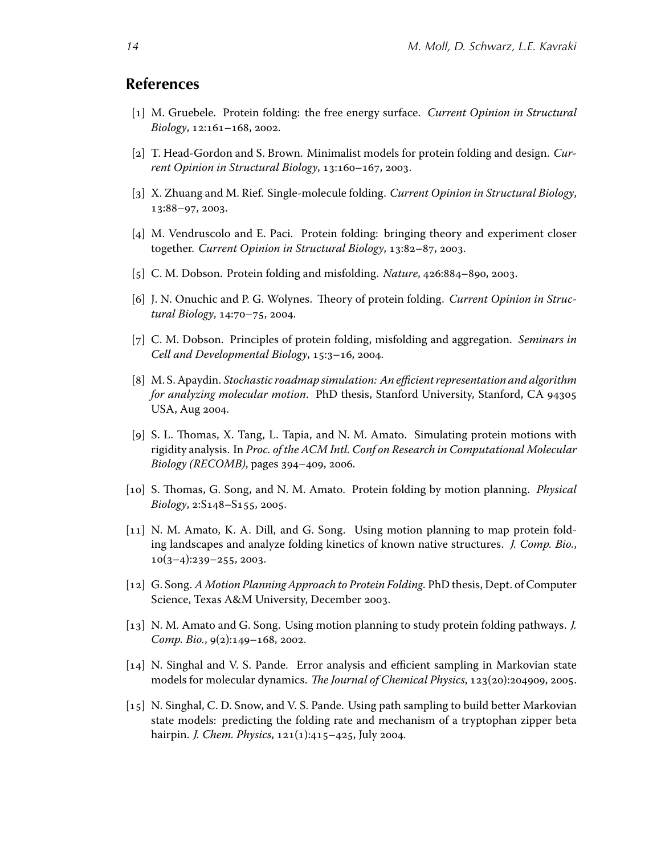# **References**

- [] M. Gruebele. Protein folding: the free energy surface. *Current Opinion in Structural Biology*, 12:161-168, 2002.
- [2] T. Head-Gordon and S. Brown. Minimalist models for protein folding and design. *Current Opinion in Structural Biology*, 13:160-167, 2003.
- [] X. Zhuang and M. Rief. Single-molecule folding. *Current Opinion in Structural Biology*, 13:88-97, 2003.
- [4] M. Vendruscolo and E. Paci. Protein folding: bringing theory and experiment closer together. Current Opinion in Structural Biology, 13:82-87, 2003.
- $\begin{bmatrix} 5 \end{bmatrix}$  C. M. Dobson. Protein folding and misfolding. *Nature*,  $426:884 890, 2003$ .
- [6] J. N. Onuchic and P. G. Wolynes. Theory of protein folding. *Current Opinion in Struc*tural Biology, 14:70-75, 2004.
- [7] C. M. Dobson. Principles of protein folding, misfolding and aggregation. *Seminars in Cell and Developmental Biology*, 15:3-16, 2004.
- [] M. S. Apaydin. *Stochastic roadmap simulation: An efficient representation and algorithm for analyzing molecular motion*. PhD thesis, Stanford University, Stanford, CA USA, Aug 2004.
- [9] S. L. Thomas, X. Tang, L. Tapia, and N. M. Amato. Simulating protein motions with rigidity analysis. In *Proc. of the ACM Intl. Conf on Research in Computational Molecular Biology (RECOMB)*, pages 394-409, 2006.
- [10] S. Thomas, G. Song, and N. M. Amato. Protein folding by motion planning. *Physical Biology*, 2:S148-S155, 2005.
- [11] N. M. Amato, K. A. Dill, and G. Song. Using motion planning to map protein folding landscapes and analyze folding kinetics of known native structures. *J. Comp. Bio.*,  $10(3-4):239-255,2003.$
- [] G. Song. *A Motion Planning Approach to Protein Folding*. PhD thesis, Dept. of Computer Science, Texas A&M University, December 2003.
- [] N. M. Amato and G. Song. Using motion planning to study protein folding pathways. *J. Comp. Bio.*, 9(2):149-168, 2002.
- [14] N. Singhal and V. S. Pande. Error analysis and efficient sampling in Markovian state models for molecular dynamics. *The Journal of Chemical Physics*, 123(20):204909, 2005.
- [15] N. Singhal, C. D. Snow, and V. S. Pande. Using path sampling to build better Markovian state models: predicting the folding rate and mechanism of a tryptophan zipper beta hairpin. *J. Chem. Physics*, 121(1):415-425, July 2004.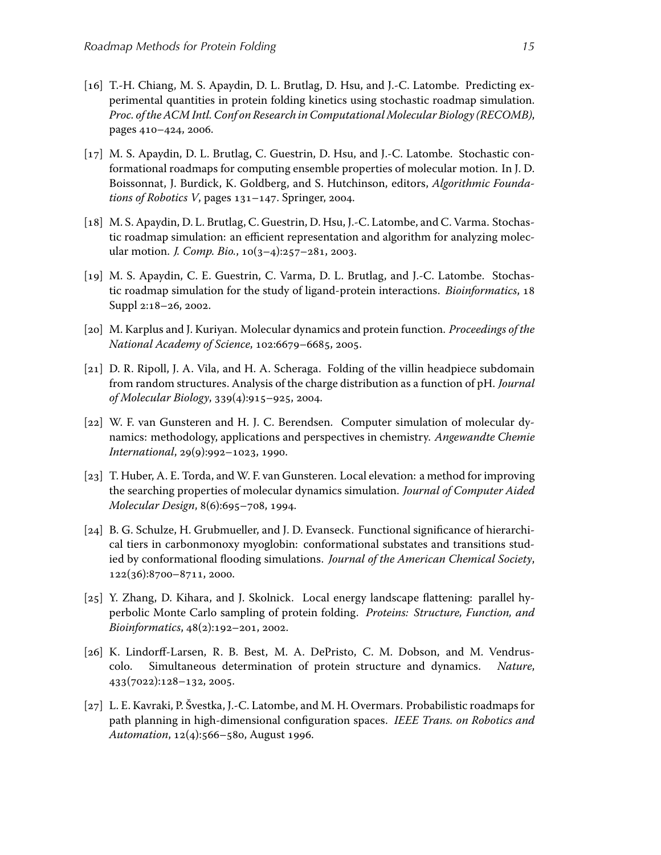- [16] T.-H. Chiang, M. S. Apaydin, D. L. Brutlag, D. Hsu, and J.-C. Latombe. Predicting experimental quantities in protein folding kinetics using stochastic roadmap simulation. *Proc. of the ACM Intl. Conf on Research in Computational Molecular Biology (RECOMB)*, pages 410-424, 2006.
- [17] M. S. Apaydin, D. L. Brutlag, C. Guestrin, D. Hsu, and J.-C. Latombe. Stochastic conformational roadmaps for computing ensemble properties of molecular motion. In J. D. Boissonnat, J. Burdick, K. Goldberg, and S. Hutchinson, editors, *Algorithmic Founda* $tions$  of Robotics V, pages  $131-147$ . Springer, 2004.
- [18] M. S. Apaydin, D. L. Brutlag, C. Guestrin, D. Hsu, J.-C. Latombe, and C. Varma. Stochastic roadmap simulation: an efficient representation and algorithm for analyzing molecular motion. *J. Comp. Bio.*,  $10(3-4):257-281$ , 2003.
- [19] M. S. Apaydin, C. E. Guestrin, C. Varma, D. L. Brutlag, and J.-C. Latombe. Stochastic roadmap simulation for the study of ligand-protein interactions. *Bioinformatics*, Suppl 2:18-26, 2002.
- [20] M. Karplus and J. Kuriyan. Molecular dynamics and protein function. *Proceedings of the National Academy of Science*, 102:6679-6685, 2005.
- [21] D. R. Ripoll, J. A. Vila, and H. A. Scheraga. Folding of the villin headpiece subdomain from random structures. Analysis of the charge distribution as a function of pH. *Journal of Molecular Biology*, 339(4):915-925, 2004.
- [22] W. F. van Gunsteren and H. J. C. Berendsen. Computer simulation of molecular dynamics: methodology, applications and perspectives in chemistry. *Angewandte Chemie International*, 29(9):992-1023, 1990.
- $[23]$  T. Huber, A. E. Torda, and W. F. van Gunsteren. Local elevation: a method for improving the searching properties of molecular dynamics simulation. *Journal of Computer Aided Molecular Design, 8(6):695-708, 1994.*
- [24] B. G. Schulze, H. Grubmueller, and J. D. Evanseck. Functional significance of hierarchical tiers in carbonmonoxy myoglobin: conformational substates and transitions studied by conformational flooding simulations. *Journal of the American Chemical Society*,  $122(36):8700-8711,2000.$
- [25] Y. Zhang, D. Kihara, and J. Skolnick. Local energy landscape flattening: parallel hyperbolic Monte Carlo sampling of protein folding. *Proteins: Structure, Function, and Bioinformatics*,  $48(2):192-201$ , 2002.
- [26] K. Lindorff-Larsen, R. B. Best, M. A. DePristo, C. M. Dobson, and M. Vendruscolo. Simultaneous determination of protein structure and dynamics. *Nature*,  $433(7022):128-132,2005.$
- [27] L. E. Kavraki, P. Švestka, J.-C. Latombe, and M. H. Overmars. Probabilistic roadmaps for path planning in high-dimensional configuration spaces. *IEEE Trans. on Robotics and Automation*, 12(4):566-580, August 1996.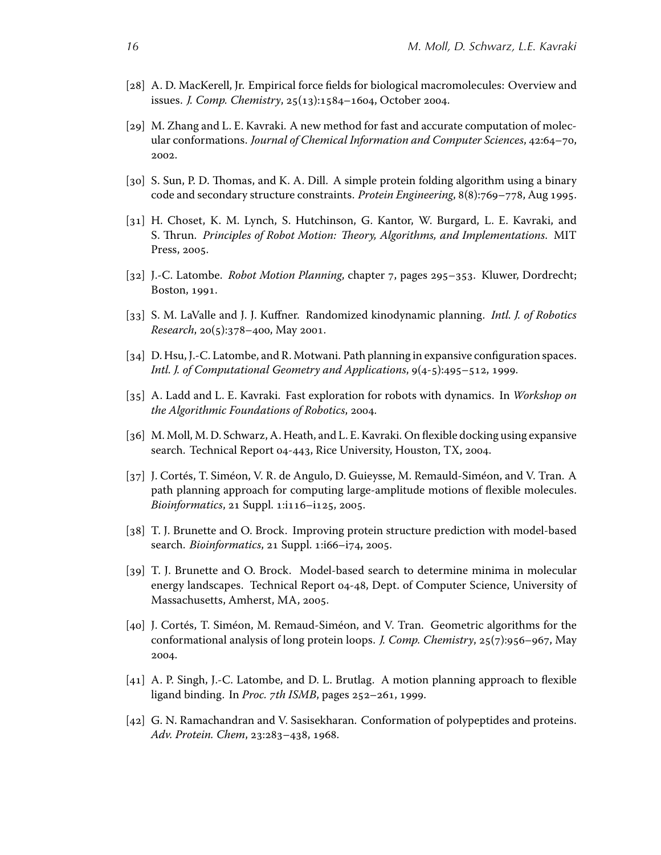- [28] A. D. MacKerell, Jr. Empirical force fields for biological macromolecules: Overview and issues. *J. Comp. Chemistry*, 25(13):1584-1604, October 2004.
- [29] M. Zhang and L. E. Kavraki. A new method for fast and accurate computation of molecular conformations. *Journal of Chemical Information and Computer Sciences*, 42:64–70, 2002.
- [30] S. Sun, P. D. Thomas, and K. A. Dill. A simple protein folding algorithm using a binary code and secondary structure constraints. *Protein Engineering*, 8(8):769-778, Aug 1995.
- [31] H. Choset, K. M. Lynch, S. Hutchinson, G. Kantor, W. Burgard, L. E. Kavraki, and S. Thrun. *Principles of Robot Motion: Theory, Algorithms, and Implementations.* MIT Press, 2005.
- [32] J.-C. Latombe. *Robot Motion Planning*, chapter 7, pages 295–353. Kluwer, Dordrecht; Boston, 1991.
- [] S. M. LaValle and J. J. Kuffner. Randomized kinodynamic planning. *Intl. J. of Robotics Research*, 20(5):378-400, May 2001.
- [34] D. Hsu, J.-C. Latombe, and R. Motwani. Path planning in expansive configuration spaces. *Intl. J. of Computational Geometry and Applications*,  $9(4-5):495-512$ , 1999.
- [] A. Ladd and L. E. Kavraki. Fast exploration for robots with dynamics. In *Workshop on the Algorithmic Foundations of Robotics, 2004.*
- [36] M. Moll, M. D. Schwarz, A. Heath, and L. E. Kavraki. On flexible docking using expansive search. Technical Report 04-443, Rice University, Houston, TX, 2004.
- [37] J. Cortés, T. Siméon, V. R. de Angulo, D. Guieysse, M. Remauld-Siméon, and V. Tran. A path planning approach for computing large-amplitude motions of flexible molecules. *Bioinformatics*, 21 Suppl. 1:1116-1125, 2005.
- [38] T. J. Brunette and O. Brock. Improving protein structure prediction with model-based search. *Bioinformatics*, 21 Suppl. 1:i66-i74, 2005.
- [39] T. J. Brunette and O. Brock. Model-based search to determine minima in molecular energy landscapes. Technical Report 04-48, Dept. of Computer Science, University of Massachusetts, Amherst, MA, 2005.
- [40] J. Cortés, T. Siméon, M. Remaud-Siméon, and V. Tran. Geometric algorithms for the conformational analysis of long protein loops. *J. Comp. Chemistry*, 25(7):956–967, May 2004.
- [41] A. P. Singh, J.-C. Latombe, and D. L. Brutlag. A motion planning approach to flexible ligand binding. In *Proc.*  $7th$  *ISMB*, pages  $252-261$ , 1999.
- [42] G. N. Ramachandran and V. Sasisekharan. Conformation of polypeptides and proteins. *Adv. Protein. Chem, 23:283-438, 1968.*